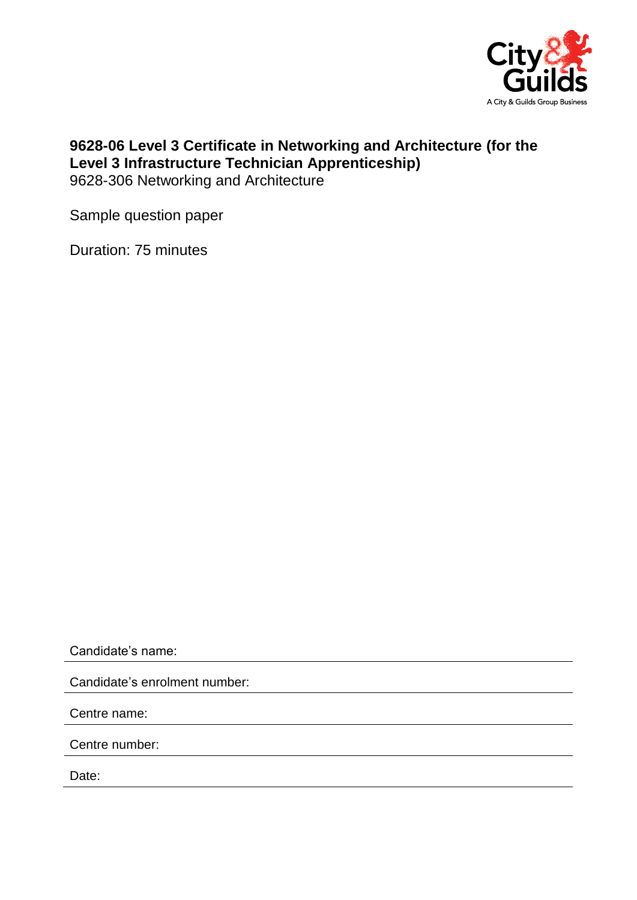

## **9628-06 Level 3 Certificate in Networking and Architecture (for the Level 3 Infrastructure Technician Apprenticeship)** 9628-306 Networking and Architecture

Sample question paper

Duration: 75 minutes

Candidate's name:

Candidate's enrolment number:

Centre name:

Centre number:

Date: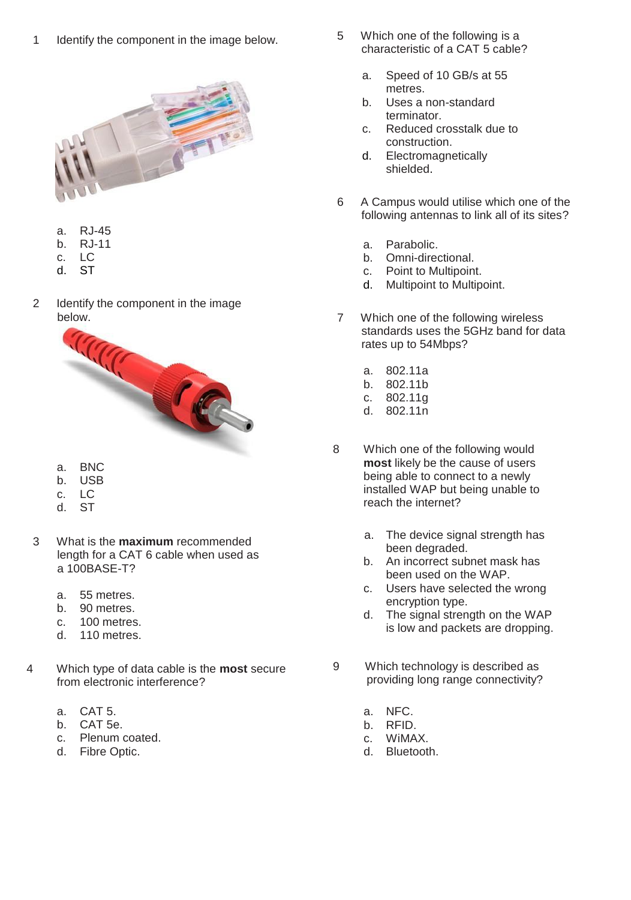1 Identify the component in the image below.



- a. RJ-45
- b. RJ-11
- c. LC
- d. ST
- 2 Identify the component in the image below.



- a. BNC
- b. USB
- c. LC
- d. ST
- 3 What is the **maximum** recommended length for a CAT 6 cable when used as a 100BASE-T?
	- a. 55 metres.
	- b. 90 metres.
	- c. 100 metres.
	- d. 110 metres.
- 4 Which type of data cable is the **most** secure from electronic interference?
	- a. CAT 5.
	- b. CAT 5e.
	- c. Plenum coated.
	- d. Fibre Optic.
- 5 Which one of the following is a characteristic of a CAT 5 cable?
	- a. Speed of 10 GB/s at 55 metres.
	- b. Uses a non-standard terminator.
	- c. Reduced crosstalk due to construction.
	- d. Electromagnetically shielded.
- 6 A Campus would utilise which one of the following antennas to link all of its sites?
	- a. Parabolic.
	- b. Omni-directional.
	- c. Point to Multipoint.
	- d. Multipoint to Multipoint.
- 7 Which one of the following wireless standards uses the 5GHz band for data rates up to 54Mbps?
	- a. 802.11a
	- b. 802.11b
	- c. 802.11g
	- d. 802.11n
- 8 Which one of the following would **most** likely be the cause of users being able to connect to a newly installed WAP but being unable to reach the internet?
	- a. The device signal strength has been degraded.
	- b. An incorrect subnet mask has been used on the WAP.
	- c. Users have selected the wrong encryption type.
	- d. The signal strength on the WAP is low and packets are dropping.
- 9 Which technology is described as providing long range connectivity?
	- a. NFC.
	- b. RFID.
	- c. WiMAX.<br>d. Bluetoot
	- Bluetooth.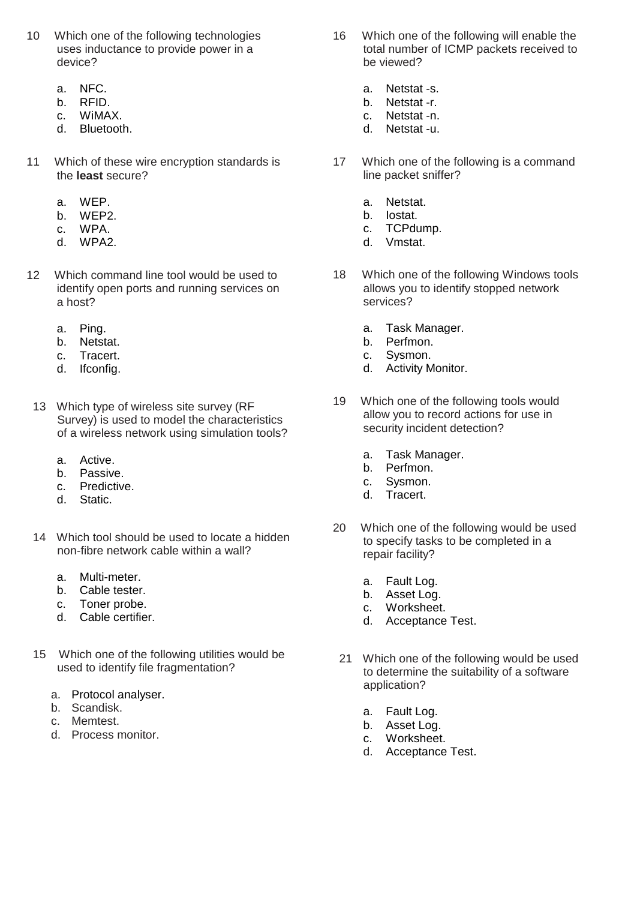- 10 Which one of the following technologies uses inductance to provide power in a device?
	- a. NFC.
	- b. RFID.
	- c. WiMAX.
	- d. Bluetooth.
- 11 Which of these wire encryption standards is the **least** secure?
	- a. WEP.
	- b. WEP2.
	- c. WPA.
	- d. WPA2.
- 12 Which command line tool would be used to identify open ports and running services on a host?
	- a. Ping.
	- b. Netstat.
	- c. Tracert.
	- d. Ifconfig.
	- 13 Which type of wireless site survey (RF Survey) is used to model the characteristics of a wireless network using simulation tools?
		- a. Active.
		- b. Passive.
		- c. Predictive.
		- d. Static.
	- 14 Which tool should be used to locate a hidden non-fibre network cable within a wall?
		- a. Multi-meter.
		- b. Cable tester.
		- c. Toner probe.
		- d. Cable certifier.
	- 15 Which one of the following utilities would be used to identify file fragmentation?
		- a. Protocol analyser.
		- b. Scandisk.
		- c. Memtest.
		- d. Process monitor.
- 16 Which one of the following will enable the total number of ICMP packets received to be viewed?
	- a. Netstat -s.
	- b. Netstat -r.
	- c. Netstat -n.
	- d. Netstat -u.
- 17 Which one of the following is a command line packet sniffer?
	- a. Netstat.
	- b. Iostat.
	- c. TCPdump.
	- d. Vmstat.
- 18 Which one of the following Windows tools allows you to identify stopped network services?
	- a. Task Manager.<br>b. Perfmon.
	- Perfmon.
	- c. Sysmon.
	- d. Activity Monitor.
- 19 Which one of the following tools would allow you to record actions for use in security incident detection?
	- a. Task Manager.
	- b. Perfmon.
	- c. Sysmon.
	- d. Tracert.
- 20 Which one of the following would be used to specify tasks to be completed in a repair facility?
	- a. Fault Log.
	- b. Asset Log.
	- c. Worksheet.
	- d. Acceptance Test.
	- 21 Which one of the following would be used to determine the suitability of a software application?
		- a. Fault Log.
		- b. Asset Log.
		- c. Worksheet.
		- d. Acceptance Test.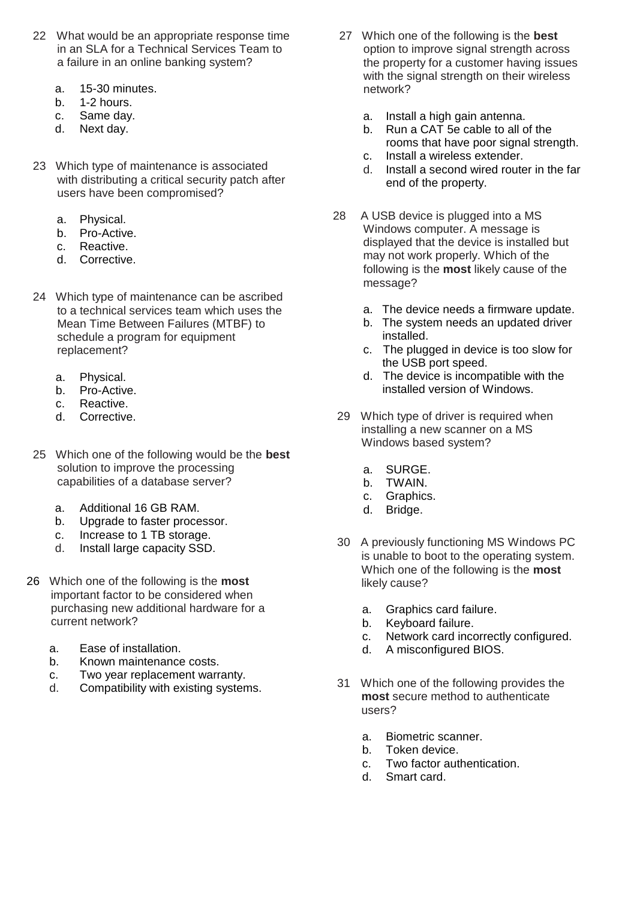- 22 What would be an appropriate response time in an SLA for a Technical Services Team to a failure in an online banking system?
	- a. 15-30 minutes.
	- b. 1-2 hours.
	- c. Same day.
	- d. Next day.
- 23 Which type of maintenance is associated with distributing a critical security patch after users have been compromised?
	- a. Physical.
	- b. Pro-Active.
	- c. Reactive.
	- d. Corrective.
- 24 Which type of maintenance can be ascribed to a technical services team which uses the Mean Time Between Failures (MTBF) to schedule a program for equipment replacement?
	- a. Physical.
	- b. Pro-Active.
	- c. Reactive.
	- d. Corrective.
- 25 Which one of the following would be the **best** solution to improve the processing capabilities of a database server?
	- a. Additional 16 GB RAM.
	- b. Upgrade to faster processor.
	- c. Increase to 1 TB storage.
	- d. Install large capacity SSD.
- 26 Which one of the following is the **most** important factor to be considered when purchasing new additional hardware for a current network?
	- a. Ease of installation.
	- b. Known maintenance costs.
	- c. Two year replacement warranty.
	- d. Compatibility with existing systems.
- 27 Which one of the following is the **best** option to improve signal strength across the property for a customer having issues with the signal strength on their wireless network?
	- a. Install a high gain antenna.
	- b. Run a CAT 5e cable to all of the rooms that have poor signal strength.
	- c. Install a wireless extender.<br>d. Install a second wired route
	- Install a second wired router in the far end of the property.
- 28 A USB device is plugged into a MS Windows computer. A message is displayed that the device is installed but may not work properly. Which of the following is the **most** likely cause of the message?
	- a. The device needs a firmware update.
	- b. The system needs an updated driver installed.
	- c. The plugged in device is too slow for the USB port speed.
	- d. The device is incompatible with the installed version of Windows.
- 29 Which type of driver is required when installing a new scanner on a MS Windows based system?
	- a. SURGE.
	- b. TWAIN.
	- c. Graphics.
	- d. Bridge.
- 30 A previously functioning MS Windows PC is unable to boot to the operating system. Which one of the following is the **most** likely cause?
	- a. Graphics card failure.
	- b. Keyboard failure.
	- c. Network card incorrectly configured.
	- d. A misconfigured BIOS.
- 31 Which one of the following provides the **most** secure method to authenticate users?
	- a. Biometric scanner.
	- b. Token device.
	- c. Two factor authentication.
	- d. Smart card.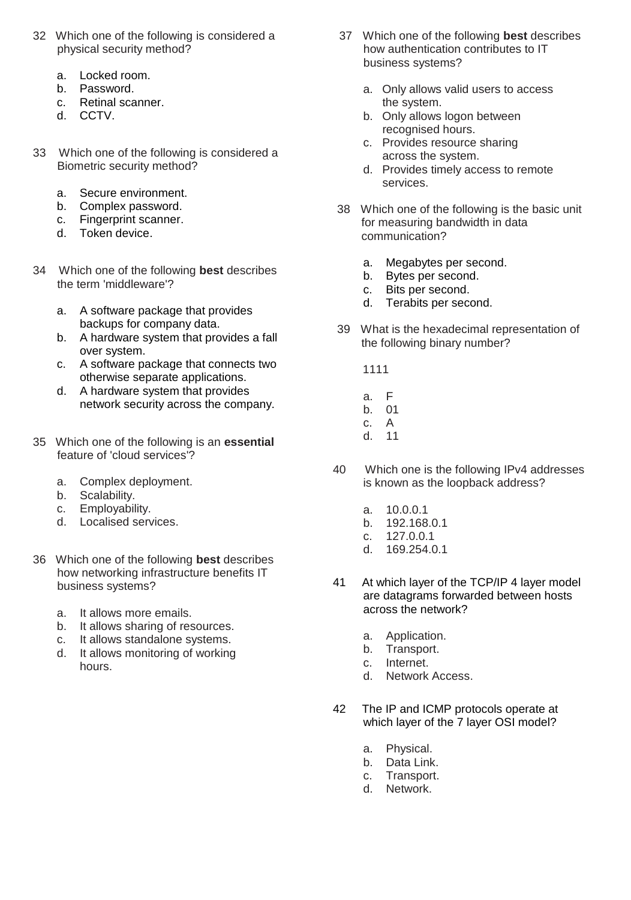- 32 Which one of the following is considered a physical security method?
	- a. Locked room.
	- b. Password.
	- c. Retinal scanner.
	- d. CCTV.
- 33 Which one of the following is considered a Biometric security method?
	- a. Secure environment.
	- b. Complex password.
	- c. Fingerprint scanner.
	- d. Token device.
- 34 Which one of the following **best** describes the term 'middleware'?
	- a. A software package that provides backups for company data.
	- b. A hardware system that provides a fall over system.
	- c. A software package that connects two otherwise separate applications.
	- d. A hardware system that provides network security across the company.
- 35 Which one of the following is an **essential** feature of 'cloud services'?
	- a. Complex deployment.
	-
	- b. Scalability.<br>c. Employabil Employability.
	- d. Localised services.
- 36 Which one of the following **best** describes how networking infrastructure benefits IT business systems?
	- a. It allows more emails.
	- b. It allows sharing of resources.
	- c. It allows standalone systems.
	- d. It allows monitoring of working hours.
- 37 Which one of the following **best** describes how authentication contributes to IT business systems?
	- a. Only allows valid users to access the system.
	- b. Only allows logon between recognised hours.
	- c. Provides resource sharing across the system.
	- d. Provides timely access to remote services.
- 38 Which one of the following is the basic unit for measuring bandwidth in data communication?
	- a. Megabytes per second.
	- b. Bytes per second.
	- c. Bits per second.
	- d. Terabits per second.
- 39 What is the hexadecimal representation of the following binary number?
	- 1111
	- a. F
	- b. 01
	- c. A
	- d. 11
- 40 Which one is the following IPv4 addresses is known as the loopback address?
	- a. 10.0.0.1
	- b. 192.168.0.1
	- c. 127.0.0.1
	- d. 169.254.0.1
- 41 At which layer of the TCP/IP 4 layer model are datagrams forwarded between hosts across the network?
	- a. Application.
	- b. Transport.
	- c. Internet.
	- d. Network Access.
- 42 The IP and ICMP protocols operate at which layer of the 7 layer OSI model?
	- a. Physical.
	- b. Data Link.
	- c. Transport.
	- d. Network.